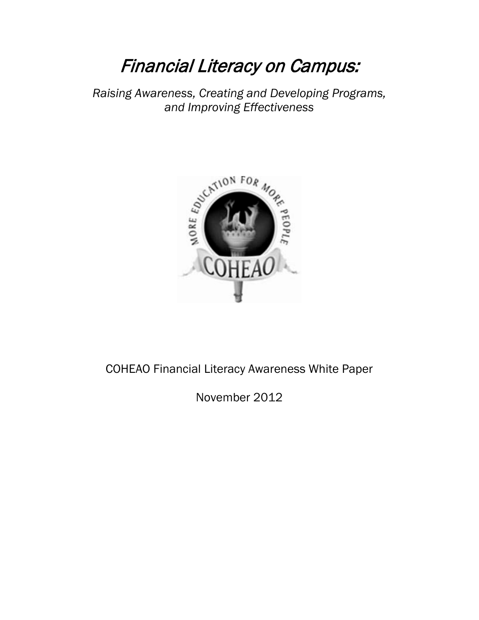# Financial Literacy on Campus:

*Raising Awareness, Creating and Developing Programs, and Improving Effectiveness*



# COHEAO Financial Literacy Awareness White Paper

November 2012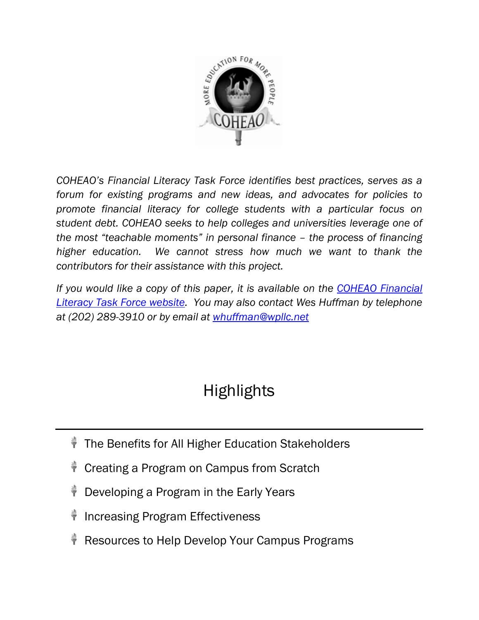

*COHEAO's Financial Literacy Task Force identifies best practices, serves as a forum for existing programs and new ideas, and advocates for policies to promote financial literacy for college students with a particular focus on student debt. COHEAO seeks to help colleges and universities leverage one of the most "teachable moments" in personal finance – the process of financing higher education. We cannot stress how much we want to thank the contributors for their assistance with this project.* 

*If you would like a copy of this paper, it is available on the [COHEAO Financial](http://www.coheao.com/about-2/taskforces-committees/financial-literacy/)  [Literacy Task Force website.](http://www.coheao.com/about-2/taskforces-committees/financial-literacy/) You may also contact Wes Huffman by telephone at (202) 289-3910 or by email at [whuffman@wpllc.net](mailto:whuffman@wpllc.net)*

# **Highlights**

- **The Benefits for All Higher Education Stakeholders**
- Creating a Program on Campus from Scratch
- Developing a Program in the Early Years
- Increasing Program Effectiveness
- Resources to Help Develop Your Campus Programs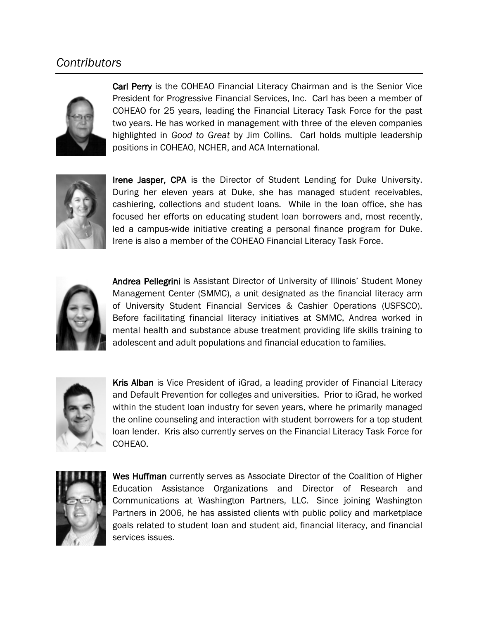# *Contributors*



Carl Perry is the COHEAO Financial Literacy Chairman and is the Senior Vice President for Progressive Financial Services, Inc. Carl has been a member of COHEAO for 25 years, leading the Financial Literacy Task Force for the past two years. He has worked in management with three of the eleven companies highlighted in *Good to Great* by Jim Collins. Carl holds multiple leadership positions in COHEAO, NCHER, and ACA International.



Irene Jasper, CPA is the Director of Student Lending for Duke University. During her eleven years at Duke, she has managed student receivables, cashiering, collections and student loans. While in the loan office, she has focused her efforts on educating student loan borrowers and, most recently, led a campus-wide initiative creating a personal finance program for Duke. Irene is also a member of the COHEAO Financial Literacy Task Force.



Andrea Pellegrini is Assistant Director of University of Illinois' Student Money Management Center (SMMC), a unit designated as the financial literacy arm of University Student Financial Services & Cashier Operations (USFSCO). Before facilitating financial literacy initiatives at SMMC, Andrea worked in mental health and substance abuse treatment providing life skills training to adolescent and adult populations and financial education to families.



Kris Alban is Vice President of iGrad, a leading provider of Financial Literacy and Default Prevention for colleges and universities. Prior to iGrad, he worked within the student loan industry for seven years, where he primarily managed the online counseling and interaction with student borrowers for a top student loan lender. Kris also currently serves on the Financial Literacy Task Force for COHEAO.



Wes Huffman currently serves as Associate Director of the Coalition of Higher Education Assistance Organizations and Director of Research and Communications at Washington Partners, LLC. Since joining Washington Partners in 2006, he has assisted clients with public policy and marketplace goals related to student loan and student aid, financial literacy, and financial services issues.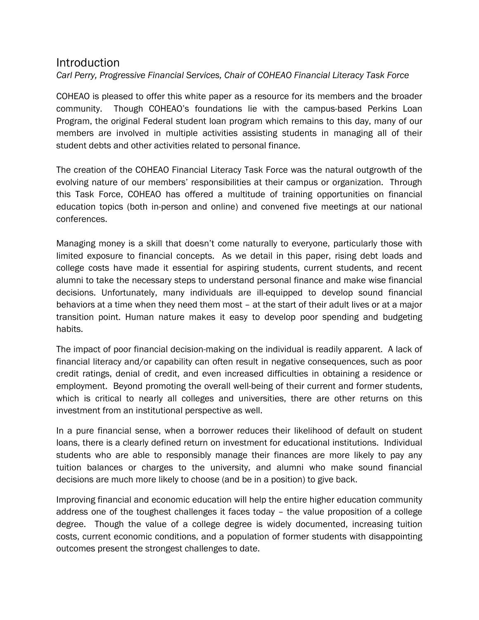# Introduction

*Carl Perry, Progressive Financial Services, Chair of COHEAO Financial Literacy Task Force*

COHEAO is pleased to offer this white paper as a resource for its members and the broader community. Though COHEAO's foundations lie with the campus-based Perkins Loan Program, the original Federal student loan program which remains to this day, many of our members are involved in multiple activities assisting students in managing all of their student debts and other activities related to personal finance.

The creation of the COHEAO Financial Literacy Task Force was the natural outgrowth of the evolving nature of our members' responsibilities at their campus or organization. Through this Task Force, COHEAO has offered a multitude of training opportunities on financial education topics (both in-person and online) and convened five meetings at our national conferences.

Managing money is a skill that doesn't come naturally to everyone, particularly those with limited exposure to financial concepts. As we detail in this paper, rising debt loads and college costs have made it essential for aspiring students, current students, and recent alumni to take the necessary steps to understand personal finance and make wise financial decisions. Unfortunately, many individuals are ill-equipped to develop sound financial behaviors at a time when they need them most – at the start of their adult lives or at a major transition point. Human nature makes it easy to develop poor spending and budgeting habits.

The impact of poor financial decision-making on the individual is readily apparent. A lack of financial literacy and/or capability can often result in negative consequences, such as poor credit ratings, denial of credit, and even increased difficulties in obtaining a residence or employment. Beyond promoting the overall well-being of their current and former students, which is critical to nearly all colleges and universities, there are other returns on this investment from an institutional perspective as well.

In a pure financial sense, when a borrower reduces their likelihood of default on student loans, there is a clearly defined return on investment for educational institutions. Individual students who are able to responsibly manage their finances are more likely to pay any tuition balances or charges to the university, and alumni who make sound financial decisions are much more likely to choose (and be in a position) to give back.

Improving financial and economic education will help the entire higher education community address one of the toughest challenges it faces today – the value proposition of a college degree. Though the value of a college degree is widely documented, increasing tuition costs, current economic conditions, and a population of former students with disappointing outcomes present the strongest challenges to date.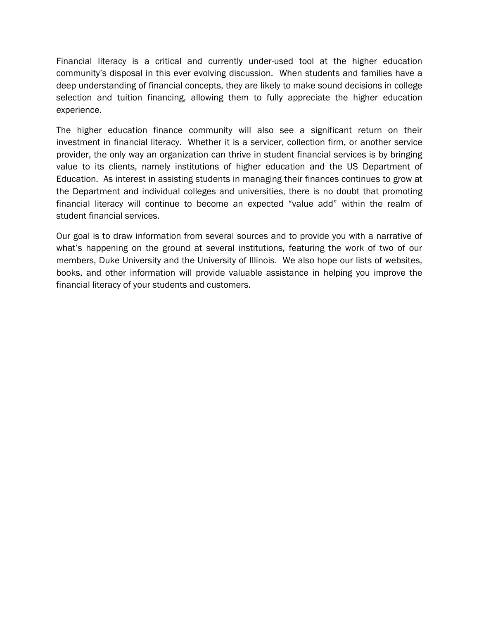Financial literacy is a critical and currently under-used tool at the higher education community's disposal in this ever evolving discussion. When students and families have a deep understanding of financial concepts, they are likely to make sound decisions in college selection and tuition financing, allowing them to fully appreciate the higher education experience.

The higher education finance community will also see a significant return on their investment in financial literacy. Whether it is a servicer, collection firm, or another service provider, the only way an organization can thrive in student financial services is by bringing value to its clients, namely institutions of higher education and the US Department of Education. As interest in assisting students in managing their finances continues to grow at the Department and individual colleges and universities, there is no doubt that promoting financial literacy will continue to become an expected "value add" within the realm of student financial services.

Our goal is to draw information from several sources and to provide you with a narrative of what's happening on the ground at several institutions, featuring the work of two of our members, Duke University and the University of Illinois. We also hope our lists of websites, books, and other information will provide valuable assistance in helping you improve the financial literacy of your students and customers.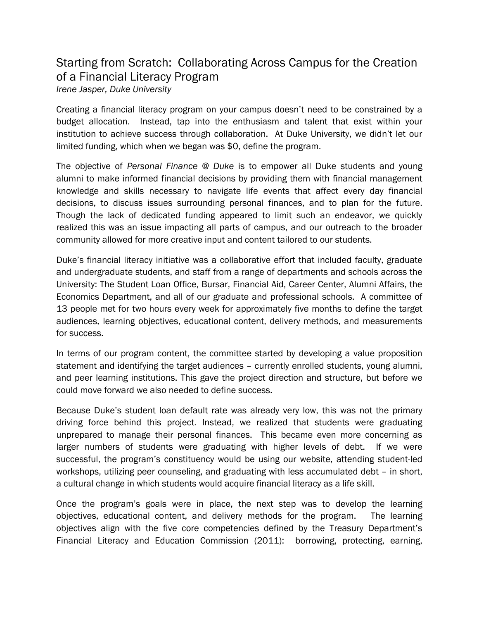# Starting from Scratch: Collaborating Across Campus for the Creation of a Financial Literacy Program

*Irene Jasper, Duke University* 

Creating a financial literacy program on your campus doesn't need to be constrained by a budget allocation. Instead, tap into the enthusiasm and talent that exist within your institution to achieve success through collaboration. At Duke University, we didn't let our limited funding, which when we began was \$0, define the program.

The objective of *Personal Finance @ Duke* is to empower all Duke students and young alumni to make informed financial decisions by providing them with financial management knowledge and skills necessary to navigate life events that affect every day financial decisions, to discuss issues surrounding personal finances, and to plan for the future. Though the lack of dedicated funding appeared to limit such an endeavor, we quickly realized this was an issue impacting all parts of campus, and our outreach to the broader community allowed for more creative input and content tailored to our students.

Duke's financial literacy initiative was a collaborative effort that included faculty, graduate and undergraduate students, and staff from a range of departments and schools across the University: The Student Loan Office, Bursar, Financial Aid, Career Center, Alumni Affairs, the Economics Department, and all of our graduate and professional schools. A committee of 13 people met for two hours every week for approximately five months to define the target audiences, learning objectives, educational content, delivery methods, and measurements for success.

In terms of our program content, the committee started by developing a value proposition statement and identifying the target audiences – currently enrolled students, young alumni, and peer learning institutions. This gave the project direction and structure, but before we could move forward we also needed to define success.

Because Duke's student loan default rate was already very low, this was not the primary driving force behind this project. Instead, we realized that students were graduating unprepared to manage their personal finances. This became even more concerning as larger numbers of students were graduating with higher levels of debt. If we were successful, the program's constituency would be using our website, attending student-led workshops, utilizing peer counseling, and graduating with less accumulated debt – in short, a cultural change in which students would acquire financial literacy as a life skill.

Once the program's goals were in place, the next step was to develop the learning objectives, educational content, and delivery methods for the program. The learning objectives align with the five core competencies defined by the Treasury Department's Financial Literacy and Education Commission (2011): borrowing, protecting, earning,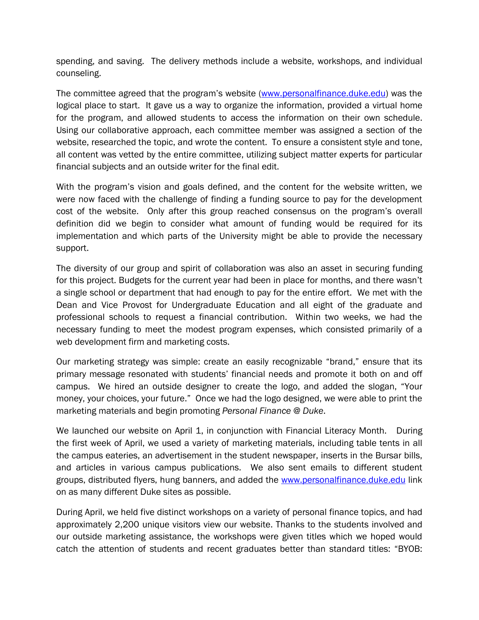spending, and saving. The delivery methods include a website, workshops, and individual counseling.

The committee agreed that the program's website [\(www.personalfinance.duke.edu\)](http://www.personalfinance.duke.edu/) was the logical place to start. It gave us a way to organize the information, provided a virtual home for the program, and allowed students to access the information on their own schedule. Using our collaborative approach, each committee member was assigned a section of the website, researched the topic, and wrote the content. To ensure a consistent style and tone, all content was vetted by the entire committee, utilizing subject matter experts for particular financial subjects and an outside writer for the final edit.

With the program's vision and goals defined, and the content for the website written, we were now faced with the challenge of finding a funding source to pay for the development cost of the website. Only after this group reached consensus on the program's overall definition did we begin to consider what amount of funding would be required for its implementation and which parts of the University might be able to provide the necessary support.

The diversity of our group and spirit of collaboration was also an asset in securing funding for this project. Budgets for the current year had been in place for months, and there wasn't a single school or department that had enough to pay for the entire effort. We met with the Dean and Vice Provost for Undergraduate Education and all eight of the graduate and professional schools to request a financial contribution. Within two weeks, we had the necessary funding to meet the modest program expenses, which consisted primarily of a web development firm and marketing costs.

Our marketing strategy was simple: create an easily recognizable "brand," ensure that its primary message resonated with students' financial needs and promote it both on and off campus. We hired an outside designer to create the logo, and added the slogan, "Your money, your choices, your future." Once we had the logo designed, we were able to print the marketing materials and begin promoting *Personal Finance @ Duke*.

We launched our website on April 1, in conjunction with Financial Literacy Month. During the first week of April, we used a variety of marketing materials, including table tents in all the campus eateries, an advertisement in the student newspaper, inserts in the Bursar bills, and articles in various campus publications. We also sent emails to different student groups, distributed flyers, hung banners, and added the [www.personalfinance.duke.edu](http://www.personalfinance.duke.edu/) link on as many different Duke sites as possible.

During April, we held five distinct workshops on a variety of personal finance topics, and had approximately 2,200 unique visitors view our website. Thanks to the students involved and our outside marketing assistance, the workshops were given titles which we hoped would catch the attention of students and recent graduates better than standard titles: "BYOB: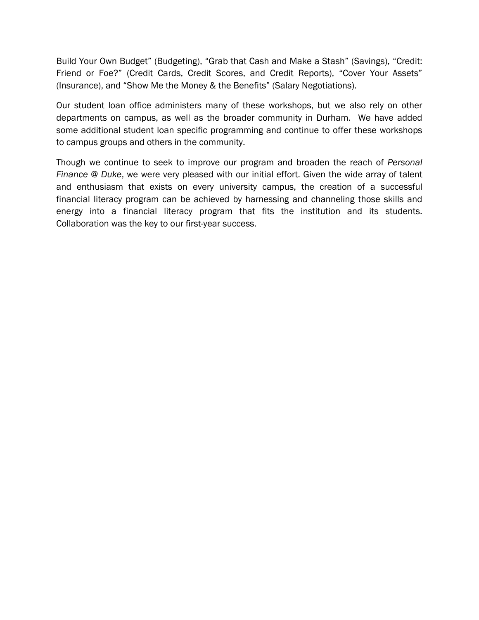Build Your Own Budget" (Budgeting), "Grab that Cash and Make a Stash" (Savings), "Credit: Friend or Foe?" (Credit Cards, Credit Scores, and Credit Reports), "Cover Your Assets" (Insurance), and "Show Me the Money & the Benefits" (Salary Negotiations).

Our student loan office administers many of these workshops, but we also rely on other departments on campus, as well as the broader community in Durham. We have added some additional student loan specific programming and continue to offer these workshops to campus groups and others in the community.

Though we continue to seek to improve our program and broaden the reach of *Personal Finance @ Duke*, we were very pleased with our initial effort. Given the wide array of talent and enthusiasm that exists on every university campus, the creation of a successful financial literacy program can be achieved by harnessing and channeling those skills and energy into a financial literacy program that fits the institution and its students. Collaboration was the key to our first-year success.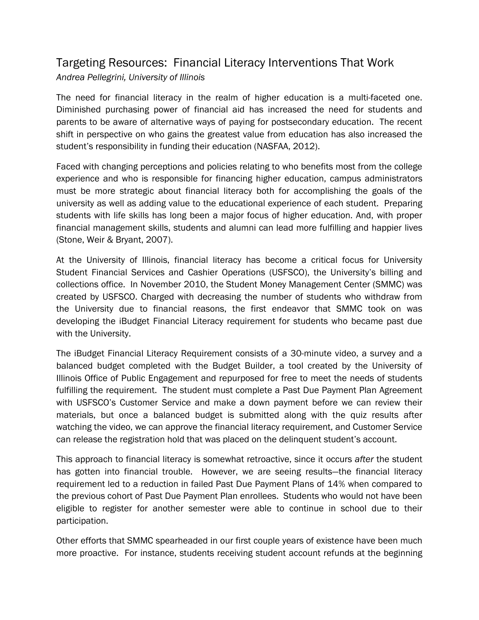# Targeting Resources: Financial Literacy Interventions That Work

*Andrea Pellegrini, University of Illinois*

The need for financial literacy in the realm of higher education is a multi-faceted one. Diminished purchasing power of financial aid has increased the need for students and parents to be aware of alternative ways of paying for postsecondary education. The recent shift in perspective on who gains the greatest value from education has also increased the student's responsibility in funding their education (NASFAA, 2012).

Faced with changing perceptions and policies relating to who benefits most from the college experience and who is responsible for financing higher education, campus administrators must be more strategic about financial literacy both for accomplishing the goals of the university as well as adding value to the educational experience of each student. Preparing students with life skills has long been a major focus of higher education. And, with proper financial management skills, students and alumni can lead more fulfilling and happier lives (Stone, Weir & Bryant, 2007).

At the University of Illinois, financial literacy has become a critical focus for University Student Financial Services and Cashier Operations (USFSCO), the University's billing and collections office. In November 2010, the Student Money Management Center (SMMC) was created by USFSCO. Charged with decreasing the number of students who withdraw from the University due to financial reasons, the first endeavor that SMMC took on was developing the iBudget Financial Literacy requirement for students who became past due with the University.

The iBudget Financial Literacy Requirement consists of a 30-minute video, a survey and a balanced budget completed with the Budget Builder, a tool created by the University of Illinois Office of Public Engagement and repurposed for free to meet the needs of students fulfilling the requirement. The student must complete a Past Due Payment Plan Agreement with USFSCO's Customer Service and make a down payment before we can review their materials, but once a balanced budget is submitted along with the quiz results after watching the video, we can approve the financial literacy requirement, and Customer Service can release the registration hold that was placed on the delinquent student's account.

This approach to financial literacy is somewhat retroactive, since it occurs *after* the student has gotten into financial trouble. However, we are seeing results—the financial literacy requirement led to a reduction in failed Past Due Payment Plans of 14% when compared to the previous cohort of Past Due Payment Plan enrollees. Students who would not have been eligible to register for another semester were able to continue in school due to their participation.

Other efforts that SMMC spearheaded in our first couple years of existence have been much more proactive. For instance, students receiving student account refunds at the beginning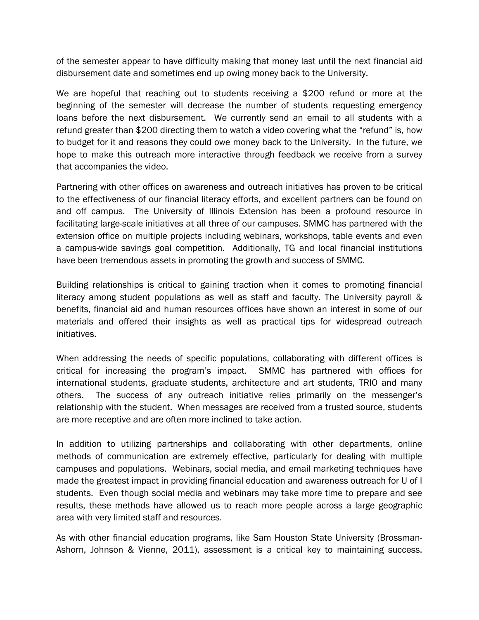of the semester appear to have difficulty making that money last until the next financial aid disbursement date and sometimes end up owing money back to the University.

We are hopeful that reaching out to students receiving a \$200 refund or more at the beginning of the semester will decrease the number of students requesting emergency loans before the next disbursement. We currently send an email to all students with a refund greater than \$200 directing them to watch a video covering what the "refund" is, how to budget for it and reasons they could owe money back to the University. In the future, we hope to make this outreach more interactive through feedback we receive from a survey that accompanies the video.

Partnering with other offices on awareness and outreach initiatives has proven to be critical to the effectiveness of our financial literacy efforts, and excellent partners can be found on and off campus. The University of Illinois Extension has been a profound resource in facilitating large-scale initiatives at all three of our campuses. SMMC has partnered with the extension office on multiple projects including webinars, workshops, table events and even a campus-wide savings goal competition. Additionally, TG and local financial institutions have been tremendous assets in promoting the growth and success of SMMC.

Building relationships is critical to gaining traction when it comes to promoting financial literacy among student populations as well as staff and faculty. The University payroll & benefits, financial aid and human resources offices have shown an interest in some of our materials and offered their insights as well as practical tips for widespread outreach initiatives.

When addressing the needs of specific populations, collaborating with different offices is critical for increasing the program's impact. SMMC has partnered with offices for international students, graduate students, architecture and art students, TRIO and many others. The success of any outreach initiative relies primarily on the messenger's relationship with the student. When messages are received from a trusted source, students are more receptive and are often more inclined to take action.

In addition to utilizing partnerships and collaborating with other departments, online methods of communication are extremely effective, particularly for dealing with multiple campuses and populations. Webinars, social media, and email marketing techniques have made the greatest impact in providing financial education and awareness outreach for U of I students. Even though social media and webinars may take more time to prepare and see results, these methods have allowed us to reach more people across a large geographic area with very limited staff and resources.

As with other financial education programs, like Sam Houston State University (Brossman-Ashorn, Johnson & Vienne, 2011), assessment is a critical key to maintaining success.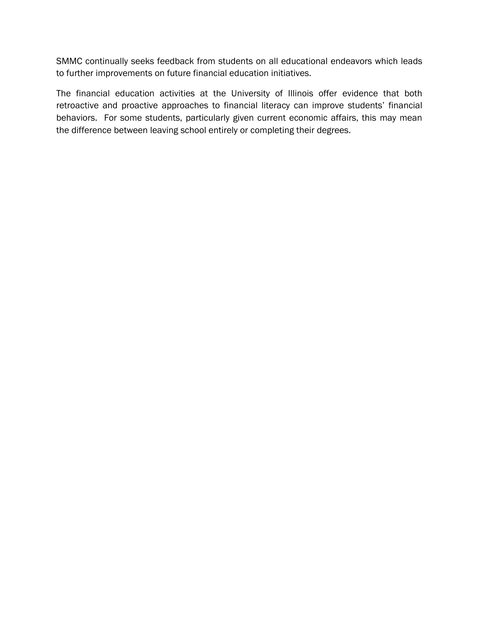SMMC continually seeks feedback from students on all educational endeavors which leads to further improvements on future financial education initiatives.

The financial education activities at the University of Illinois offer evidence that both retroactive and proactive approaches to financial literacy can improve students' financial behaviors. For some students, particularly given current economic affairs, this may mean the difference between leaving school entirely or completing their degrees.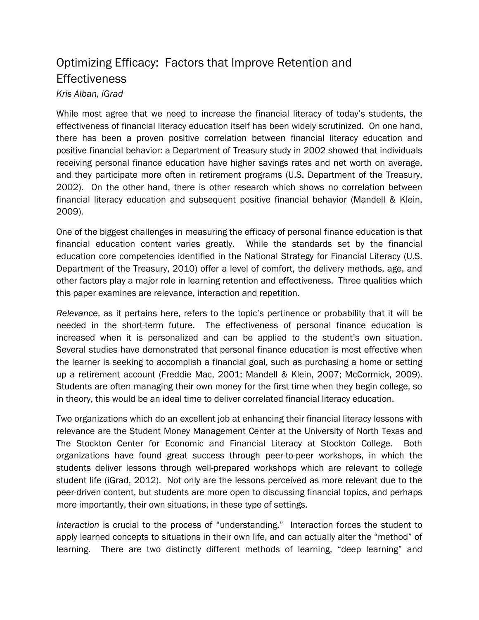# Optimizing Efficacy: Factors that Improve Retention and **Effectiveness** *Kris Alban, iGrad*

While most agree that we need to increase the financial literacy of today's students, the effectiveness of financial literacy education itself has been widely scrutinized. On one hand, there has been a proven positive correlation between financial literacy education and positive financial behavior: a Department of Treasury study in 2002 showed that individuals receiving personal finance education have higher savings rates and net worth on average, and they participate more often in retirement programs (U.S. Department of the Treasury, 2002). On the other hand, there is other research which shows no correlation between financial literacy education and subsequent positive financial behavior (Mandell & Klein, 2009).

One of the biggest challenges in measuring the efficacy of personal finance education is that financial education content varies greatly. While the standards set by the financial education core competencies identified in the National Strategy for Financial Literacy (U.S. Department of the Treasury, 2010) offer a level of comfort, the delivery methods, age, and other factors play a major role in learning retention and effectiveness. Three qualities which this paper examines are relevance, interaction and repetition.

*Relevance*, as it pertains here, refers to the topic's pertinence or probability that it will be needed in the short-term future. The effectiveness of personal finance education is increased when it is personalized and can be applied to the student's own situation. Several studies have demonstrated that personal finance education is most effective when the learner is seeking to accomplish a financial goal, such as purchasing a home or setting up a retirement account (Freddie Mac, 2001; Mandell & Klein, 2007; McCormick, 2009). Students are often managing their own money for the first time when they begin college, so in theory, this would be an ideal time to deliver correlated financial literacy education.

Two organizations which do an excellent job at enhancing their financial literacy lessons with relevance are the Student Money Management Center at the University of North Texas and The Stockton Center for Economic and Financial Literacy at Stockton College. Both organizations have found great success through peer-to-peer workshops, in which the students deliver lessons through well-prepared workshops which are relevant to college student life (iGrad, 2012). Not only are the lessons perceived as more relevant due to the peer-driven content, but students are more open to discussing financial topics, and perhaps more importantly, their own situations, in these type of settings.

*Interaction* is crucial to the process of "understanding." Interaction forces the student to apply learned concepts to situations in their own life, and can actually alter the "method" of learning. There are two distinctly different methods of learning, "deep learning" and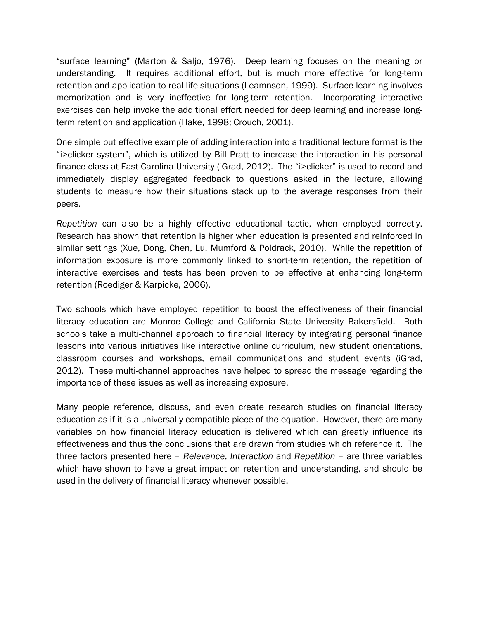"surface learning" (Marton & Saljo, 1976). Deep learning focuses on the meaning or understanding. It requires additional effort, but is much more effective for long-term retention and application to real-life situations (Leamnson, 1999). Surface learning involves memorization and is very ineffective for long-term retention. Incorporating interactive exercises can help invoke the additional effort needed for deep learning and increase longterm retention and application (Hake, 1998; Crouch, 2001).

One simple but effective example of adding interaction into a traditional lecture format is the "i>clicker system", which is utilized by Bill Pratt to increase the interaction in his personal finance class at East Carolina University (iGrad, 2012). The "i>clicker" is used to record and immediately display aggregated feedback to questions asked in the lecture, allowing students to measure how their situations stack up to the average responses from their peers.

*Repetition* can also be a highly effective educational tactic, when employed correctly. Research has shown that retention is higher when education is presented and reinforced in similar settings (Xue, Dong, Chen, Lu, Mumford & Poldrack, 2010). While the repetition of information exposure is more commonly linked to short-term retention, the repetition of interactive exercises and tests has been proven to be effective at enhancing long-term retention (Roediger & Karpicke, 2006).

Two schools which have employed repetition to boost the effectiveness of their financial literacy education are Monroe College and California State University Bakersfield. Both schools take a multi-channel approach to financial literacy by integrating personal finance lessons into various initiatives like interactive online curriculum, new student orientations, classroom courses and workshops, email communications and student events (iGrad, 2012). These multi-channel approaches have helped to spread the message regarding the importance of these issues as well as increasing exposure.

Many people reference, discuss, and even create research studies on financial literacy education as if it is a universally compatible piece of the equation. However, there are many variables on how financial literacy education is delivered which can greatly influence its effectiveness and thus the conclusions that are drawn from studies which reference it. The three factors presented here – *Relevance*, *Interaction* and *Repetition* – are three variables which have shown to have a great impact on retention and understanding, and should be used in the delivery of financial literacy whenever possible.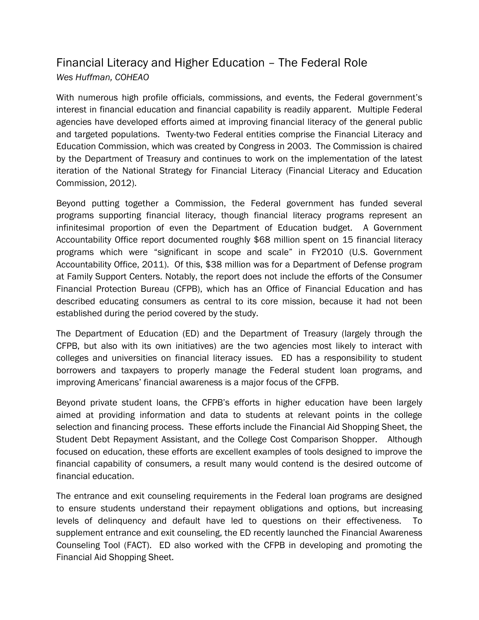# Financial Literacy and Higher Education – The Federal Role *Wes Huffman, COHEAO*

With numerous high profile officials, commissions, and events, the Federal government's interest in financial education and financial capability is readily apparent. Multiple Federal agencies have developed efforts aimed at improving financial literacy of the general public and targeted populations. Twenty-two Federal entities comprise the Financial Literacy and Education Commission, which was created by Congress in 2003. The Commission is chaired by the Department of Treasury and continues to work on the implementation of the latest iteration of the National Strategy for Financial Literacy (Financial Literacy and Education Commission, 2012).

Beyond putting together a Commission, the Federal government has funded several programs supporting financial literacy, though financial literacy programs represent an infinitesimal proportion of even the Department of Education budget. A Government Accountability Office report documented roughly \$68 million spent on 15 financial literacy programs which were "significant in scope and scale" in FY2010 (U.S. Government Accountability Office, 2011). Of this, \$38 million was for a Department of Defense program at Family Support Centers. Notably, the report does not include the efforts of the Consumer Financial Protection Bureau (CFPB), which has an Office of Financial Education and has described educating consumers as central to its core mission, because it had not been established during the period covered by the study.

The Department of Education (ED) and the Department of Treasury (largely through the CFPB, but also with its own initiatives) are the two agencies most likely to interact with colleges and universities on financial literacy issues. ED has a responsibility to student borrowers and taxpayers to properly manage the Federal student loan programs, and improving Americans' financial awareness is a major focus of the CFPB.

Beyond private student loans, the CFPB's efforts in higher education have been largely aimed at providing information and data to students at relevant points in the college selection and financing process. These efforts include the Financial Aid Shopping Sheet, the Student Debt Repayment Assistant, and the College Cost Comparison Shopper. Although focused on education, these efforts are excellent examples of tools designed to improve the financial capability of consumers, a result many would contend is the desired outcome of financial education.

The entrance and exit counseling requirements in the Federal loan programs are designed to ensure students understand their repayment obligations and options, but increasing levels of delinquency and default have led to questions on their effectiveness. To supplement entrance and exit counseling, the ED recently launched the Financial Awareness Counseling Tool (FACT). ED also worked with the CFPB in developing and promoting the Financial Aid Shopping Sheet.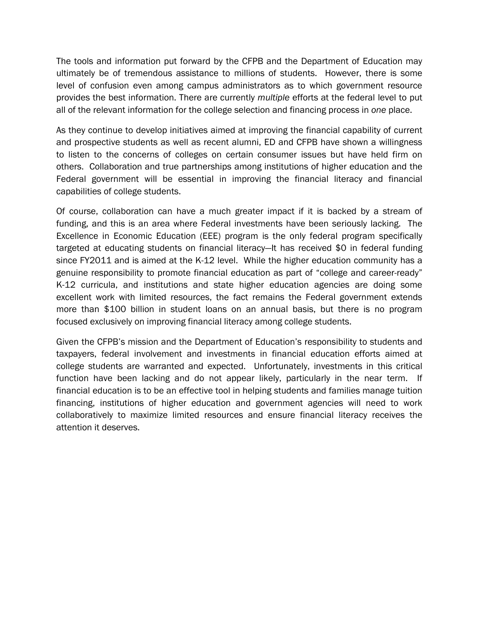The tools and information put forward by the CFPB and the Department of Education may ultimately be of tremendous assistance to millions of students. However, there is some level of confusion even among campus administrators as to which government resource provides the best information. There are currently *multiple* efforts at the federal level to put all of the relevant information for the college selection and financing process in *one* place.

As they continue to develop initiatives aimed at improving the financial capability of current and prospective students as well as recent alumni, ED and CFPB have shown a willingness to listen to the concerns of colleges on certain consumer issues but have held firm on others. Collaboration and true partnerships among institutions of higher education and the Federal government will be essential in improving the financial literacy and financial capabilities of college students.

Of course, collaboration can have a much greater impact if it is backed by a stream of funding, and this is an area where Federal investments have been seriously lacking. The Excellence in Economic Education (EEE) program is the only federal program specifically targeted at educating students on financial literacy—It has received \$0 in federal funding since FY2011 and is aimed at the K-12 level. While the higher education community has a genuine responsibility to promote financial education as part of "college and career-ready" K-12 curricula, and institutions and state higher education agencies are doing some excellent work with limited resources, the fact remains the Federal government extends more than \$100 billion in student loans on an annual basis, but there is no program focused exclusively on improving financial literacy among college students.

Given the CFPB's mission and the Department of Education's responsibility to students and taxpayers, federal involvement and investments in financial education efforts aimed at college students are warranted and expected. Unfortunately, investments in this critical function have been lacking and do not appear likely, particularly in the near term. If financial education is to be an effective tool in helping students and families manage tuition financing, institutions of higher education and government agencies will need to work collaboratively to maximize limited resources and ensure financial literacy receives the attention it deserves.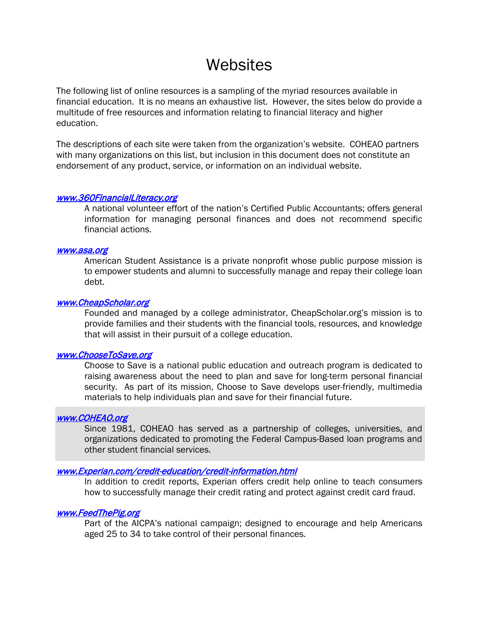# **Websites**

The following list of online resources is a sampling of the myriad resources available in financial education. It is no means an exhaustive list. However, the sites below do provide a multitude of free resources and information relating to financial literacy and higher education.

The descriptions of each site were taken from the organization's website. COHEAO partners with many organizations on this list, but inclusion in this document does not constitute an endorsement of any product, service, or information on an individual website.

#### [www.360FinancialLiteracy.org](http://www.360financialliteracy.org/)

A national volunteer effort of the nation's Certified Public Accountants; offers general information for managing personal finances and does not recommend specific financial actions.

#### [www.asa.org](http://www.asa.org/)

American Student Assistance is a private nonprofit whose public purpose mission is to empower students and alumni to successfully manage and repay their college loan debt.

#### [www.CheapScholar.org](http://www.cheapscholar.org/)

Founded and managed by a college administrator, CheapScholar.org's mission is to provide families and their students with the financial tools, resources, and knowledge that will assist in their pursuit of a college education.

#### [www.ChooseToSave.org](http://www.choosetosave.org/)

Choose to Save is a national public education and outreach program is dedicated to raising awareness about the need to plan and save for long-term personal financial security. As part of its mission, Choose to Save develops user-friendly, multimedia materials to help individuals plan and save for their financial future.

### [www.COHEAO.org](http://www.coheao.org/)

Since 1981, COHEAO has served as a partnership of colleges, universities, and organizations dedicated to promoting the Federal Campus-Based loan programs and other student financial services.

### [www.Experian.com/credit-education/credit-information.html](http://www.experian.com/credit-education/credit-information.html)

In addition to credit reports, Experian offers credit help online to teach consumers how to successfully manage their credit rating and protect against credit card fraud.

#### [www.FeedThePig.org](http://www.feedthepig.org/)

Part of the AICPA's national campaign; designed to encourage and help Americans aged 25 to 34 to take control of their personal finances.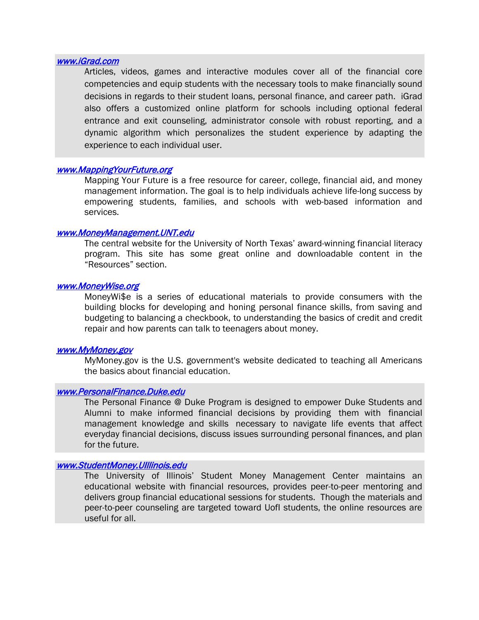#### [www.iGrad.com](http://www.igrad.com/)

Articles, videos, games and interactive modules cover all of the financial core competencies and equip students with the necessary tools to make financially sound decisions in regards to their student loans, personal finance, and career path. iGrad also offers a customized online platform for schools including optional federal entrance and exit counseling, administrator console with robust reporting, and a dynamic algorithm which personalizes the student experience by adapting the experience to each individual user.

#### [www.MappingYourFuture.org](http://www.mappingyourfuture.org/)

Mapping Your Future is a free resource for career, college, financial aid, and money management information. The goal is to help individuals achieve life-long success by empowering students, families, and schools with web-based information and services.

#### [www.MoneyManagement.UNT.edu](http://www.moneymanagement.unt.edu/)

The central website for the University of North Texas' award-winning financial literacy program. This site has some great online and downloadable content in the "Resources" section.

#### [www.MoneyWise.org](http://www.moneywise.org/)

MoneyWi\$e is a series of educational materials to provide consumers with the building blocks for developing and honing personal finance skills, from saving and budgeting to balancing a checkbook, to understanding the basics of credit and credit repair and how parents can talk to teenagers about money.

#### [www.MyMoney.gov](http://www.mymoney.gov/)

MyMoney.gov is the U.S. government's website dedicated to teaching all Americans the basics about financial education.

#### [www.PersonalFinance.Duke.edu](http://www.personalfinance.duke.edu/)

The Personal Finance @ Duke Program is designed to empower Duke Students and Alumni to make informed financial decisions by providing them with financial management knowledge and skills necessary to navigate life events that affect everyday financial decisions, discuss issues surrounding personal finances, and plan for the future.

#### [www.StudentMoney.UIllinois.edu](http://www.studentmoney.uillinois.edu/)

The University of Illinois' Student Money Management Center maintains an educational website with financial resources, provides peer-to-peer mentoring and delivers group financial educational sessions for students. Though the materials and peer-to-peer counseling are targeted toward UofI students, the online resources are useful for all.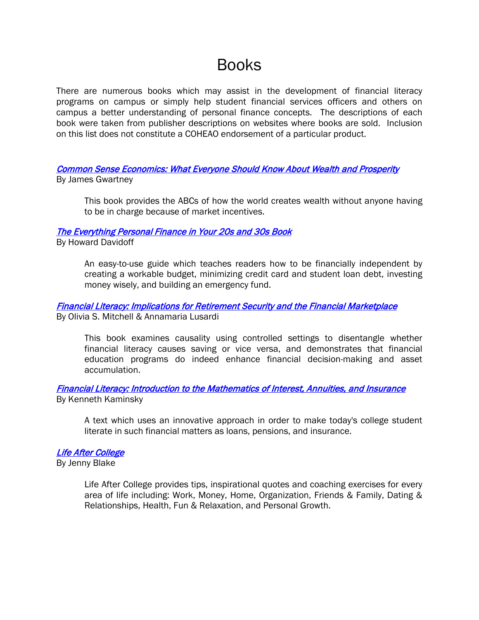# Books

There are numerous books which may assist in the development of financial literacy programs on campus or simply help student financial services officers and others on campus a better understanding of personal finance concepts. The descriptions of each book were taken from publisher descriptions on websites where books are sold. Inclusion on this list does not constitute a COHEAO endorsement of a particular product.

## [Common Sense Economics: What Everyone Should Know About Wealth and Prosperity](http://www.amazon.com/Common-Sense-Economics-Everyone-Prosperity/dp/B005ZO6UGY)  By James Gwartney

This book provides the ABCs of how the world creates wealth without anyone having to be in charge because of market incentives.

## [The Everything Personal Finance in Your 20s and 30s Book](http://www.amazon.com/Everything-Personal-Finance-Your-Book/dp/1440542562)

By Howard Davidoff

An easy-to-use guide which teaches readers how to be financially independent by creating a workable budget, minimizing credit card and student loan debt, investing money wisely, and building an emergency fund.

## [Financial Literacy: Implications for Retirement Security and the Financial Marketplace](http://www.amazon.com/Financial-Literacy-Implications-Retirement-Marketplace/dp/0199696810)  By Olivia S. Mitchell & Annamaria Lusardi

This book examines causality using controlled settings to disentangle whether financial literacy causes saving or vice versa, and demonstrates that financial education programs do indeed enhance financial decision-making and asset accumulation.

## [Financial Literacy: Introduction to the Mathematics of Interest, Annuities, and Insurance](http://www.amazon.com/Financial-Literacy-Introduction-Mathematics-Annuities/dp/076185309X/)  By Kenneth Kaminsky

A text which uses an innovative approach in order to make today's college student literate in such financial matters as loans, pensions, and insurance.

## [Life After College](http://www.amazon.com/Life-After-College-Complete-Getting/dp/0762441275)

By Jenny Blake

Life After College provides tips, inspirational quotes and coaching exercises for every area of life including: Work, Money, Home, Organization, Friends & Family, Dating & Relationships, Health, Fun & Relaxation, and Personal Growth.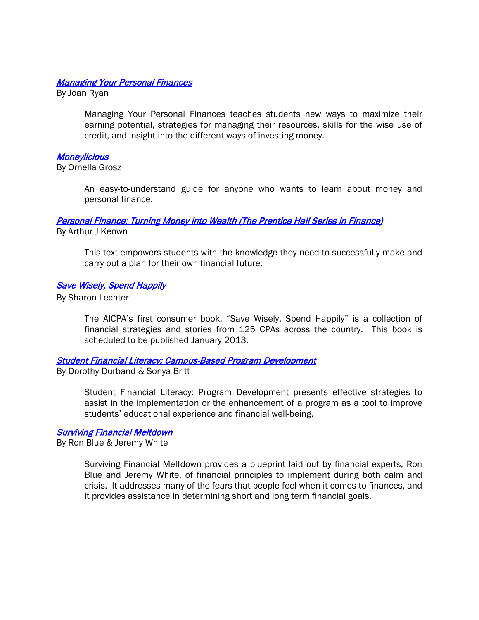### **Managing Your Personal Finances**

By Joan Ryan

Managing Your Personal Finances teaches students new ways to maximize their earning potential, strategies for managing their resources, skills for the wise use of credit, and insight into the different ways of investing money.

### **Moneylicious**

By Ornella Grosz

An easy-to-understand guide for anyone who wants to learn about money and personal finance.

# [Personal Finance: Turning Money into Wealth \(The Prentice Hall Series in Finance\)](http://www.amazon.com/Personal-Finance-Turning-Edition-Prentice/dp/0132719169)

By Arthur J Keown

This text empowers students with the knowledge they need to successfully make and carry out a plan for their own financial future.

### [Save Wisely, Spend Happily](http://www.savewiselyspendhappily.com/)

By Sharon Lechter

The AICPA's first consumer book, "Save Wisely, Spend Happily" is a collection of financial strategies and stories from 125 CPAs across the country. This book is scheduled to be published January 2013.

### [Student Financial Literacy: Campus-Based Program Development](http://www.amazon.com/gp/product/1461435048)

By Dorothy Durband & Sonya Britt

Student Financial Literacy: Program Development presents effective strategies to assist in the implementation or the enhancement of a program as a tool to improve students' educational experience and financial well-being.

#### [Surviving Financial Meltdown](http://www.amazon.com/Surviving-Financial-Meltdown-Confident-Decisions/dp/1414329954)

By Ron Blue & Jeremy White

Surviving Financial Meltdown provides a blueprint laid out by financial experts, Ron Blue and Jeremy White, of financial principles to implement during both calm and crisis. It addresses many of the fears that people feel when it comes to finances, and it provides assistance in determining short and long term financial goals.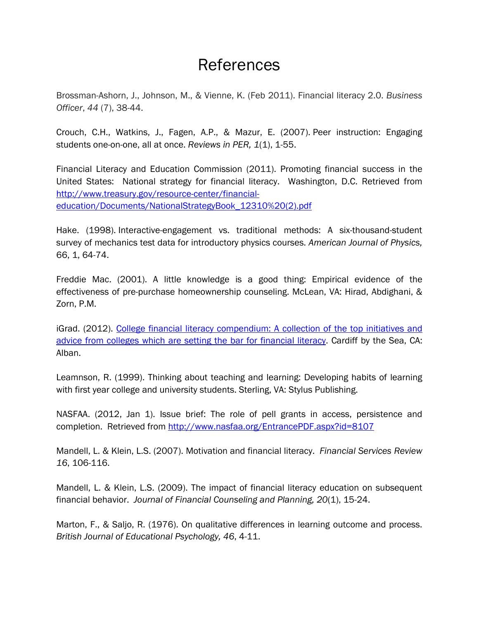# References

Brossman-Ashorn, J., Johnson, M., & Vienne, K. (Feb 2011). Financial literacy 2.0. *Business Officer*, *44* (7), 38-44.

Crouch, C.H., Watkins, J., Fagen, A.P., & Mazur, E. (2007). Peer instruction: Engaging students one-on-one, all at once. *Reviews in PER, 1*(1), 1-55.

Financial Literacy and Education Commission (2011). Promoting financial success in the United States: National strategy for financial literacy. Washington, D.C. Retrieved from [http://www.treasury.gov/resource-center/financial](http://www.treasury.gov/resource-center/financial-education/Documents/NationalStrategyBook_12310%20(2).pdf)[education/Documents/NationalStrategyBook\\_12310%20\(2\).pdf](http://www.treasury.gov/resource-center/financial-education/Documents/NationalStrategyBook_12310%20(2).pdf)

Hake. (1998). Interactive-engagement vs. traditional methods: A six-thousand-student survey of mechanics test data for introductory physics courses. *American Journal of Physics,* 66, 1, 64-74.

Freddie Mac. (2001). A little knowledge is a good thing: Empirical evidence of the effectiveness of pre-purchase homeownership counseling. McLean, VA: Hirad, Abdighani, & Zorn, P.M.

iGrad. (2012). [College financial literacy compendium: A collection of the top initiatives and](http://www.igrad.com/pdf/College-Financial-Literacy-Compendium.pdf)  [advice from colleges which are setting the bar for financial literacy.](http://www.igrad.com/pdf/College-Financial-Literacy-Compendium.pdf) Cardiff by the Sea, CA: Alban.

Leamnson, R. (1999). Thinking about teaching and learning: Developing habits of learning with first year college and university students. Sterling, VA: Stylus Publishing.

NASFAA. (2012, Jan 1). Issue brief: The role of pell grants in access, persistence and completion. Retrieved from<http://www.nasfaa.org/EntrancePDF.aspx?id=8107>

Mandell, L. & Klein, L.S. (2007). Motivation and financial literacy. *Financial Services Review 16*, 106-116.

Mandell, L. & Klein, L.S. (2009). The impact of financial literacy education on subsequent financial behavior. *Journal of Financial Counseling and Planning, 20*(1), 15-24.

Marton, F., & Saljo, R. (1976). On qualitative differences in learning outcome and process. *British Journal of Educational Psychology, 46*, 4-11.